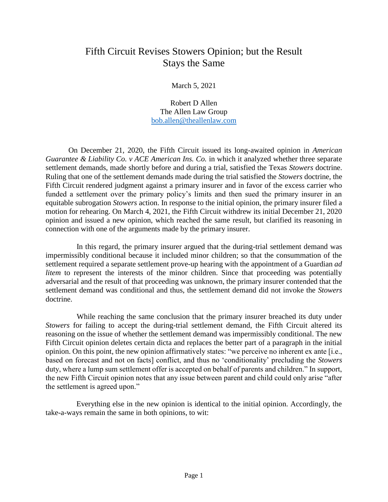## Fifth Circuit Revises Stowers Opinion; but the Result Stays the Same

March 5, 2021

Robert D Allen The Allen Law Group [bob.allen@theallenlaw.com](mailto:bob.allen@theallenlaw.com)

On December 21, 2020, the Fifth Circuit issued its long-awaited opinion in *American Guarantee & Liability Co. v ACE American Ins. Co.* in which it analyzed whether three separate settlement demands, made shortly before and during a trial, satisfied the Texas *Stowers* doctrine. Ruling that one of the settlement demands made during the trial satisfied the *Stowers* doctrine, the Fifth Circuit rendered judgment against a primary insurer and in favor of the excess carrier who funded a settlement over the primary policy's limits and then sued the primary insurer in an equitable subrogation *Stowers* action. In response to the initial opinion, the primary insurer filed a motion for rehearing. On March 4, 2021, the Fifth Circuit withdrew its initial December 21, 2020 opinion and issued a new opinion, which reached the same result, but clarified its reasoning in connection with one of the arguments made by the primary insurer.

 In this regard, the primary insurer argued that the during-trial settlement demand was impermissibly conditional because it included minor children; so that the consummation of the settlement required a separate settlement prove-up hearing with the appointment of a Guardian *ad litem* to represent the interests of the minor children. Since that proceeding was potentially adversarial and the result of that proceeding was unknown, the primary insurer contended that the settlement demand was conditional and thus, the settlement demand did not invoke the *Stowers* doctrine.

 While reaching the same conclusion that the primary insurer breached its duty under *Stowers* for failing to accept the during-trial settlement demand, the Fifth Circuit altered its reasoning on the issue of whether the settlement demand was impermissibly conditional. The new Fifth Circuit opinion deletes certain dicta and replaces the better part of a paragraph in the initial opinion. On this point, the new opinion affirmatively states: "we perceive no inherent ex ante [i.e., based on forecast and not on facts] conflict, and thus no 'conditionality' precluding the *Stowers*  duty, where a lump sum settlement offer is accepted on behalf of parents and children." In support, the new Fifth Circuit opinion notes that any issue between parent and child could only arise "after the settlement is agreed upon."

 Everything else in the new opinion is identical to the initial opinion. Accordingly, the take-a-ways remain the same in both opinions, to wit: